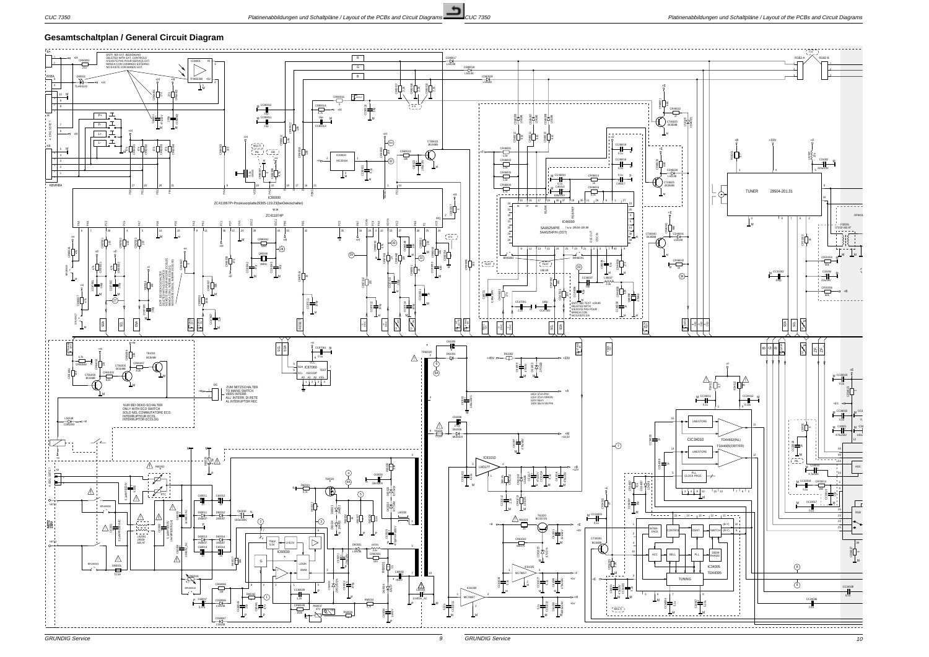GRUNDIG Service

## **Gesamtschaltplan / General Circuit Diagram**



GRUNDIG Service 9 10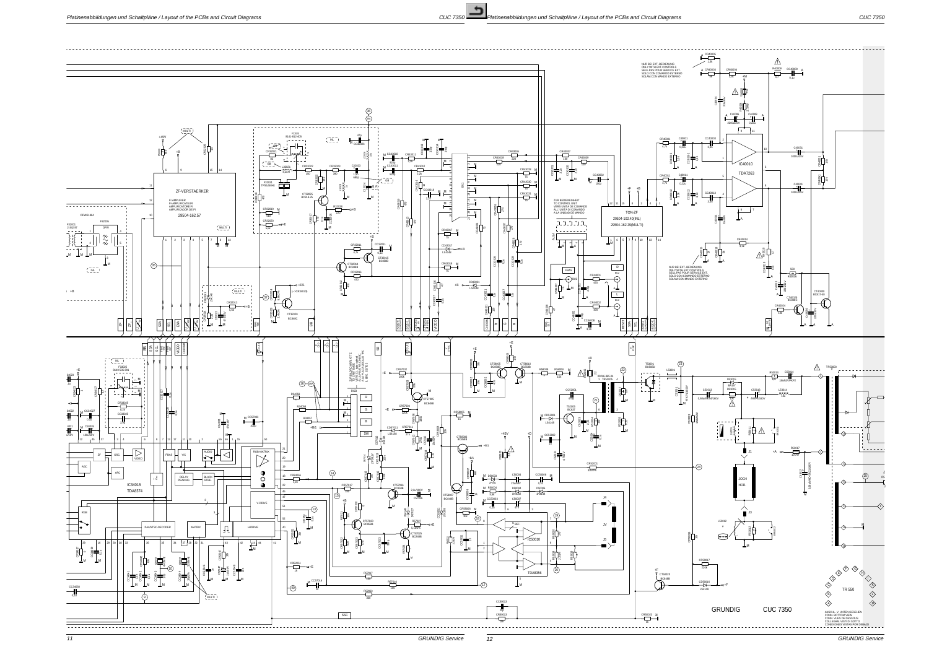GRUNDIG Service

10k

3,3n

3,3n







SOLAM.CON MANDO EXTERNO

NUR BEI EXT.-BEDIENUNG<br>ONLY WITH EXT.CONTROLS<br>SEUL.PAS POUR SERVICE EXT.<br>SOLO CON COMANDO ESTERNO